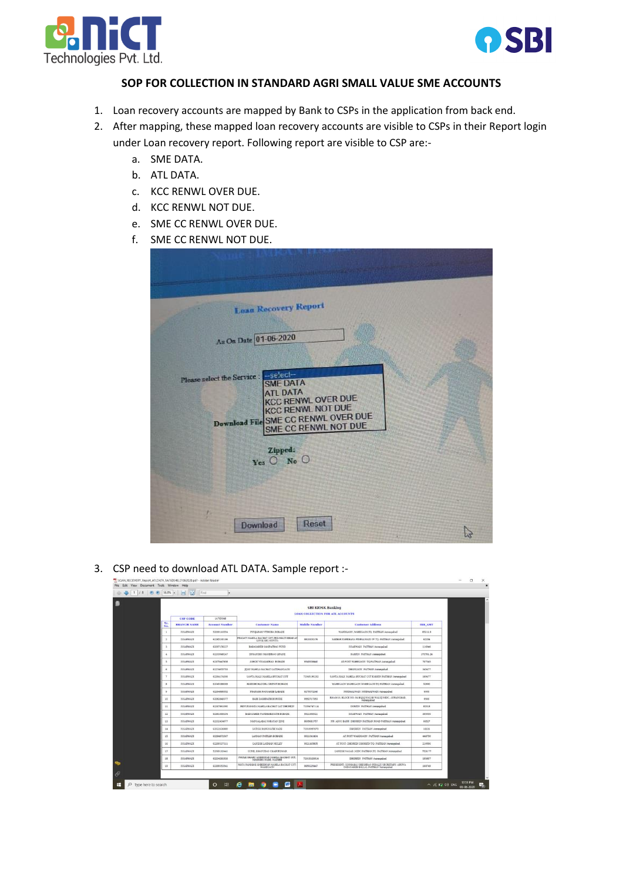



## **SOP FOR COLLECTION IN STANDARD AGRI SMALL VALUE SME ACCOUNTS**

- 1. Loan recovery accounts are mapped by Bank to CSPs in the application from back end.
- 2. After mapping, these mapped loan recovery accounts are visible to CSPs in their Report login under Loan recovery report. Following report are visible to CSP are:
	- a. SME DATA.
	- b. ATL DATA.
	- c. KCC RENWL OVER DUE.
	- d. KCC RENWL NOT DUE.
	- e. SME CC RENWL OVER DUE.
	- f. SME CC RENWL NOT DUE.

| <b>Laza Recovery Report</b><br>As On Date 01-06-2020<br>Please select the Service -select-<br><b>SME DATA</b><br><b>ATL DATA</b><br><b>KCC RENWL OVER DUE</b><br><b>KCC RENWL NOT DUE</b><br><b>Download File SME CC RENWL OVER DUE</b><br>SME CC RENWL NOT DUE<br>Zipped:<br>Yes O No O |  |
|------------------------------------------------------------------------------------------------------------------------------------------------------------------------------------------------------------------------------------------------------------------------------------------|--|
| Reset<br><b>Download</b>                                                                                                                                                                                                                                                                 |  |

## 3. CSP need to download ATL DATA. Sample report :-

| ● 1 /8 ● ● 56.8% → 日 は |             | Find                   |                       |                                                                |                          |                                                                                               |                |  |  |
|------------------------|-------------|------------------------|-----------------------|----------------------------------------------------------------|--------------------------|-----------------------------------------------------------------------------------------------|----------------|--|--|
|                        |             |                        |                       |                                                                | <b>SBI KIOSK Banking</b> |                                                                                               |                |  |  |
|                        |             | <b>CSP CODE</b>        | 1A76D348              | <b>LOAN COLLECTION FOR ATL ACCOUNTS</b>                        |                          |                                                                                               |                |  |  |
|                        | Sr.<br>No.  | <b>BRANCH NAME</b>     | <b>Account Number</b> | <b>Customer Name</b>                                           | <b>Mabile Number</b>     | <b>Customer Address</b>                                                                       | <b>IRR AMT</b> |  |  |
|                        | ×           | <b>ISSARWADE</b>       | 52069110554           | PUNIARAN VITHORA BORADE                                        |                          | WAHEGAON (WAREGAON.TO PAITHAN Aurengehed                                                      | 85211.8        |  |  |
|                        | ×.          | ISSARWADE              | 62285230186           | PRAGATI NAHILA BACHAT GUT PRE-NALTI BHAR AT                    | 3823100176               | SAKHAR KAREHANA PINPALWADI (P) TO- PATTHAN Auranoabad                                         | 62204          |  |  |
|                        |             | PEGARWAIN              | 62097156227           | BABASAHEB SAMPATRAO PUND                                       |                          | 255ARWADE PATTIEAN Aurangabad                                                                 | 110346         |  |  |
|                        | $\ddot{}$   | <b>ISSAMWADI</b>       | 62233949247           | DNYANDEO MAMIERAO LIFANE                                       |                          | <b>EARED! PAITHAN Aurancebad</b>                                                              | 173791.24      |  |  |
|                        | 3           | <b><i>HASSMADE</i></b> | 62375447858           | ASHOE VINAYAERAD ROBADE                                        | 5545335440               | AT-POST WAREGAON TO-PATTHAN Automobiled                                                       | 707045         |  |  |
|                        | $\sim$      | <b>ISSARWADE</b>       | 62274655793           | IIIAU MAHILA BACHAT GATDHANGAON                                |                          | DHANGAON PAITHAN Aurangabad.                                                                  | 345477         |  |  |
|                        |             | <b>ISSARWADI</b>       | 62264174306           | <b>SAWEA MALI MAMILA BUCHAT GUT</b>                            | 72045190232              | SAWTA MALI MARELA BUCHAT GUT KAREIN PATIEAN Aurangabad                                        | 169477         |  |  |
|                        | 8           | ISSARWADE              | 62045386069           | HARDSHOHANDRA SRIPATE BOBADE                                   |                          | WAREGAON WAREGAON WAREGAON TO PAITHAN Assessabled                                             | 52900          |  |  |
|                        | $\mathbf s$ | <b>ISSARWADE</b>       | 62264886552           | PRAEASH RAOSAHEB LABADE                                        | 5270072240               | MUDHALWADI MUDHALWADI Auranoabad                                                              | 6000           |  |  |
|                        | 10          | <b>ISSARIVADE</b>      | 62082849377           | HARI DASHRATH BORUDE                                           | 9552717353               | RH-45/10, BLOCK NO. 04 BAJAJ NAGAR WALLY MIDC, AURANGBAD,<br>Aurancabad                       | 9500           |  |  |
|                        | 11          | ISSARWADE              | 62267861090           | RENUKANATA MAHILA BACHAT GAT DHOREIN                           | 72054747114              | DOREIN PAITHAN Augustubad                                                                     | 82318          |  |  |
|                        | 12          | ISSARWADE              | 62381669204           | BARASARER PANDRARDIATH BOBADE                                  | 5921550021               | ISSARWADI PATIBAN Aurangabad                                                                  | 300000         |  |  |
|                        | 13          | ISSARWADE              | 62232404077           | NANGALABAI NARAYAN ZINE                                        | 8605681757               | NR. ADCC BANK, DHOREN PAITRAN ROAD PAITRAN Automobiled                                        | 66527          |  |  |
|                        | 14          | ISSARWADE              | 62022636880           | SATISH RANGNATH NADE                                           | 72010937870              | DHORED! PAITHAN Aurungahad.                                                                   | 18131          |  |  |
|                        | 25          | ISSARWADI              | 62284872567           | LAXNAN PATTLEA BOBADE                                          | 5921041404               | AT FOST WAHEGACN PATTHAN Aurangabad                                                           | 448750         |  |  |
|                        | 16          | ISSARWADI              | 62260337311           | GAMESH LAXNAN MULEY                                            | 9921163805               | AT POST-DROBEN DHOREN TO-PATRAN Aurangabad                                                    | 210596         |  |  |
|                        | 17          | <b>ISSARWADE</b>       | 52069110441           | SUNIL BHANUDAS CHARUESWAR                                      |                          | GANESH NAGAR AIDD PAITHAN TO PAITHAN Aurangahad                                               | 7528.77        |  |  |
|                        | 38          | <b>ISSARINADE</b>      | 62234281926           | PHULE SHAHU AMBEDEAR MAHILA BACHAT GUT.<br>MANISHA NADE, NADEE | 72015520814              | DHORSDI PAITHAN Automobied                                                                    | 195807         |  |  |
|                        | 19          | <b>ISSARWADE</b>       | 62399353541           | MATA RAMABAI AMBEDIKAR MANILA BACHAT GUT-<br><b>WARROUGH</b>   | 9830235447               | PRESIDENT: GODBIARAI SHESHBAO NIKALIE SECRETARY: ARUNA.<br>DADASAHEB BALLAL PATHAN Auranoabad | 168749         |  |  |